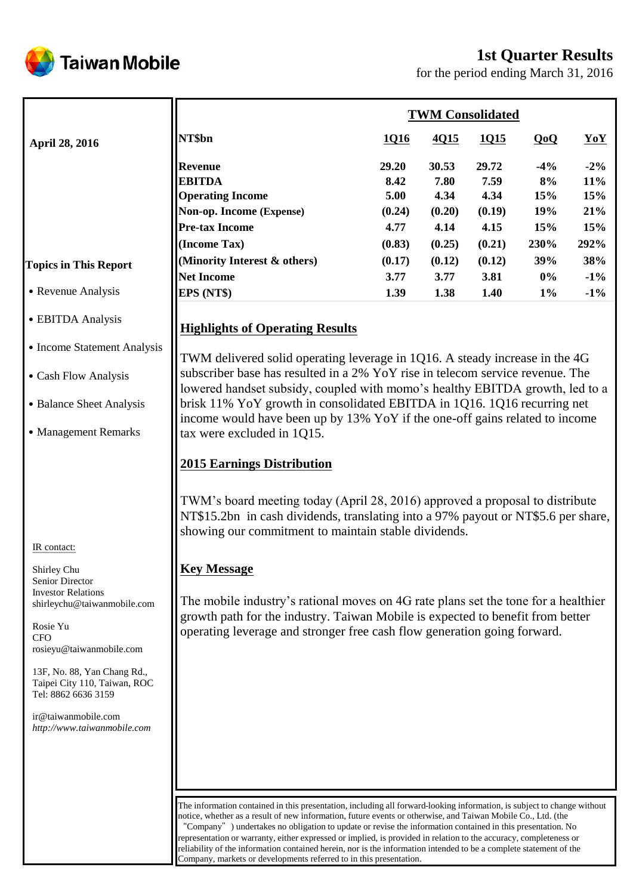

# **1st Quarter Results**

for the period ending March 31, 2016

|                              | <b>TWM Consolidated</b>                                                       |        |        |        |        |        |  |
|------------------------------|-------------------------------------------------------------------------------|--------|--------|--------|--------|--------|--|
| <b>April 28, 2016</b>        | NT\$bn                                                                        | 1016   | 4Q15   | 1Q15   | QoQ    | YoY    |  |
|                              | <b>Revenue</b>                                                                | 29.20  | 30.53  | 29.72  | $-4\%$ | $-2\%$ |  |
|                              | <b>EBITDA</b>                                                                 | 8.42   | 7.80   | 7.59   | 8%     | $11\%$ |  |
|                              | <b>Operating Income</b>                                                       | 5.00   | 4.34   | 4.34   | 15%    | 15%    |  |
|                              | Non-op. Income (Expense)                                                      | (0.24) | (0.20) | (0.19) | 19%    | 21%    |  |
|                              | <b>Pre-tax Income</b>                                                         | 4.77   | 4.14   | 4.15   | 15%    | 15%    |  |
|                              | (Income Tax)                                                                  | (0.83) | (0.25) | (0.21) | 230%   | 292%   |  |
| <b>Topics in This Report</b> | (Minority Interest & others)                                                  | (0.17) | (0.12) | (0.12) | 39%    | 38%    |  |
|                              | <b>Net Income</b>                                                             | 3.77   | 3.77   | 3.81   | $0\%$  | $-1\%$ |  |
| • Revenue Analysis           | EPS (NT\$)                                                                    | 1.39   | 1.38   | 1.40   | $1\%$  | $-1\%$ |  |
| • EBITDA Analysis            | <b>Highlights of Operating Results</b>                                        |        |        |        |        |        |  |
| • Income Statement Analysis  | TWM delivered solid operating leverage in 1Q16. A steady increase in the 4G   |        |        |        |        |        |  |
| • Cash Flow Analysis         | subscriber base has resulted in a 2% YoY rise in telecom service revenue. The |        |        |        |        |        |  |

˙Balance Sheet Analysis

˙Management Remarks

#### IR contact:

Shirley Chu Senior Director Investor Relations shirleychu@taiwanmobile.com

Rosie Yu  $CFO$ rosieyu@taiwanmobile.com

13F, No. 88, Yan Chang Rd., Taipei City 110, Taiwan, ROC Tel: 8862 6636 3159

ir@taiwanmobile.com *http://www.taiwanmobile.com*

subscriber base has resulted in a 2% YoY rise in telecom service revenue. The lowered handset subsidy, coupled with momo's healthy EBITDA growth, led to a brisk 11% YoY growth in consolidated EBITDA in 1Q16. 1Q16 recurring net income would have been up by 13% YoY if the one-off gains related to income tax were excluded in 1Q15.

# **2015 Earnings Distribution**

TWM's board meeting today (April 28, 2016) approved a proposal to distribute NT\$15.2bn in cash dividends, translating into a 97% payout or NT\$5.6 per share, showing our commitment to maintain stable dividends.

# **Key Message**

The mobile industry's rational moves on 4G rate plans set the tone for a healthier growth path for the industry. Taiwan Mobile is expected to benefit from better operating leverage and stronger free cash flow generation going forward.

The information contained in this presentation, including all forward-looking information, is subject to change without notice, whether as a result of new information, future events or otherwise, and Taiwan Mobile Co., Ltd. (the "Company") undertakes no obligation to update or revise the information contained in this presentation. No representation or warranty, either expressed or implied, is provided in relation to the accuracy, completeness or reliability of the information contained herein, nor is the information intended to be a complete statement of the Company, markets or developments referred to in this presentation.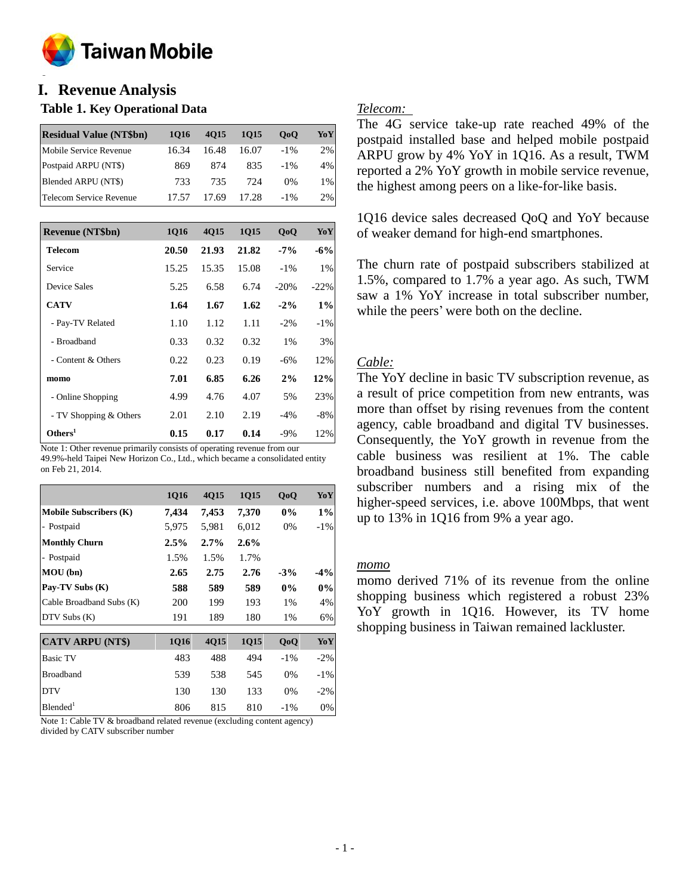

#### **o I. Revenue Analysis**

#### **Table 1. Key Operational Data**

| <b>Residual Value (NT\$bn)</b> | 1016  | 4015  | 1015  | 0 <sub>0</sub> | YoY |
|--------------------------------|-------|-------|-------|----------------|-----|
| Mobile Service Revenue         | 16.34 | 16.48 | 16.07 | $-1\%$         | 2%  |
| Postpaid ARPU (NT\$)           | 869   | 874   | 835   | $-1\%$         | 4%  |
| Blended ARPU (NT\$)            | 733   | 735   | 724   | 0%             | 1%  |
| Telecom Service Revenue        | 17.57 | 17.69 | 17.28 | $-1\%$         | 2%  |

| <b>Revenue (NT\$bn)</b> | 1016  | <b>4015</b> | 1015  | QoQ    | YoY     |
|-------------------------|-------|-------------|-------|--------|---------|
| <b>Telecom</b>          | 20.50 | 21.93       | 21.82 | $-7\%$ | $-6%$   |
| Service                 | 15.25 | 15.35       | 15.08 | $-1\%$ | 1%      |
| Device Sales            | 5.25  | 6.58        | 6.74  | $-20%$ | $-22\%$ |
| <b>CATV</b>             | 1.64  | 1.67        | 1.62  | $-2\%$ | $1\%$   |
| - Pay-TV Related        | 1.10  | 1.12        | 1.11  | $-2\%$ | $-1\%$  |
| - Broadband             | 0.33  | 0.32        | 0.32  | 1%     | 3%      |
| - Content & Others      | 0.22  | 0.23        | 0.19  | $-6%$  | 12%     |
| momo                    | 7.01  | 6.85        | 6.26  | 2%     | 12%     |
| - Online Shopping       | 4.99  | 4.76        | 4.07  | 5%     | 23%     |
| - TV Shopping & Others  | 2.01  | 2.10        | 2.19  | $-4%$  | $-8%$   |
| Others <sup>1</sup>     | 0.15  | 0.17        | 0.14  | $-9%$  | 12%     |

Note 1: Other revenue primarily consists of operating revenue from our 49.9%-held Taipei New Horizon Co., Ltd., which became a consolidated entity on Feb 21, 2014.

|                               | <b>1Q16</b> | 4Q15  | 1Q15    | QoQ    | YoY    |
|-------------------------------|-------------|-------|---------|--------|--------|
| <b>Mobile Subscribers (K)</b> | 7,434       | 7,453 | 7,370   | $0\%$  | $1\%$  |
| - Postpaid                    | 5,975       | 5,981 | 6,012   | 0%     | $-1\%$ |
| <b>Monthly Churn</b>          | 2.5%        | 2.7%  | $2.6\%$ |        |        |
| - Postpaid                    | 1.5%        | 1.5%  | 1.7%    |        |        |
| MOU (bn)                      | 2.65        | 2.75  | 2.76    | $-3%$  | $-4\%$ |
| Pay-TV Subs (K)               | 588         | 589   | 589     | $0\%$  | $0\%$  |
| Cable Broadband Subs (K)      | 200         | 199   | 193     | 1%     | 4%     |
| DTV Subs (K)                  | 191         | 189   | 180     | 1%     | 6%     |
| <b>CATV ARPU (NT\$)</b>       | <b>1Q16</b> | 4Q15  | 1Q15    | QoQ    | YoY    |
| <b>Basic TV</b>               | 483         | 488   | 494     | $-1\%$ | $-2\%$ |
| <b>Broadband</b>              | 539         | 538   | 545     | $0\%$  | $-1\%$ |
| <b>DTV</b>                    | 130         | 130   | 133     | 0%     | $-2\%$ |
| Blended <sup>1</sup>          | 806         | 815   | 810     | $-1\%$ | 0%     |

Note 1: Cable TV & broadband related revenue (excluding content agency) divided by CATV subscriber number

#### *Telecom:*

The 4G service take-up rate reached 49% of the postpaid installed base and helped mobile postpaid ARPU grow by 4% YoY in 1Q16. As a result, TWM reported a 2% YoY growth in mobile service revenue, the highest among peers on a like-for-like basis.

1Q16 device sales decreased QoQ and YoY because of weaker demand for high-end smartphones.

The churn rate of postpaid subscribers stabilized at 1.5%, compared to 1.7% a year ago. As such, TWM saw a 1% YoY increase in total subscriber number, while the peers' were both on the decline.

#### *Cable:*

The YoY decline in basic TV subscription revenue, as a result of price competition from new entrants, was more than offset by rising revenues from the content agency, cable broadband and digital TV businesses. Consequently, the YoY growth in revenue from the cable business was resilient at 1%. The cable broadband business still benefited from expanding subscriber numbers and a rising mix of the higher-speed services, i.e. above 100Mbps, that went up to 13% in 1Q16 from 9% a year ago.

*momo*

momo derived 71% of its revenue from the online shopping business which registered a robust 23% YoY growth in 1Q16. However, its TV home shopping business in Taiwan remained lackluster.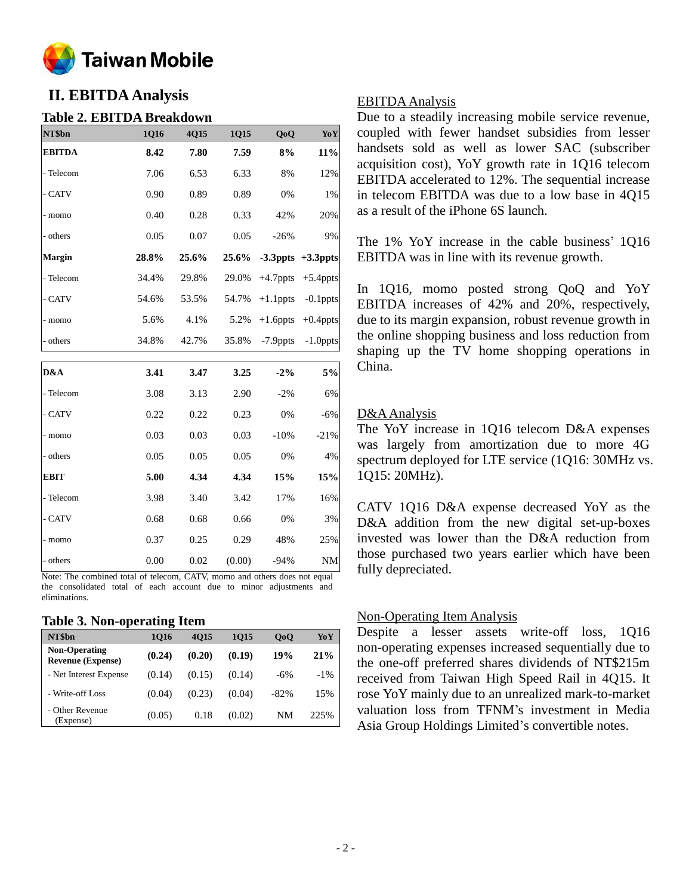

# **II. EBITDA Analysis**

#### **Table 2. EBITDA Breakdown**

| NT\$bn        | 1Q16  | 4Q15  | 1Q15   | QoQ         | YoY                     |
|---------------|-------|-------|--------|-------------|-------------------------|
| <b>EBITDA</b> | 8.42  | 7.80  | 7.59   | 8%          | $11\%$                  |
| - Telecom     | 7.06  | 6.53  | 6.33   | 8%          | 12%                     |
| - CATV        | 0.90  | 0.89  | 0.89   | 0%          | 1%                      |
| - momo        | 0.40  | 0.28  | 0.33   | 42%         | 20%                     |
| - others      | 0.05  | 0.07  | 0.05   | $-26%$      | 9%                      |
| <b>Margin</b> | 28.8% | 25.6% | 25.6%  |             | $-3.3$ ppts $+3.3$ ppts |
| - Telecom     | 34.4% | 29.8% | 29.0%  | $+4.7$ ppts | $+5.4$ ppts             |
| - CATV        | 54.6% | 53.5% | 54.7%  | $+1.1$ ppts | $-0.1$ ppts             |
| - momo        | 5.6%  | 4.1%  | 5.2%   | $+1.6$ ppts | $+0.4$ ppts             |
| - others      | 34.8% | 42.7% | 35.8%  | $-7.9$ ppts | $-1.0$ ppts             |
|               |       |       |        |             |                         |
| D&A           | 3.41  | 3.47  | 3.25   | $-2%$       | 5%                      |
| - Telecom     | 3.08  | 3.13  | 2.90   | $-2%$       | 6%                      |
| - CATV        | 0.22  | 0.22  | 0.23   | 0%          | $-6%$                   |
| - momo        | 0.03  | 0.03  | 0.03   | $-10%$      | $-21%$                  |
| - others      | 0.05  | 0.05  | 0.05   | 0%          | 4%                      |
| <b>EBIT</b>   | 5.00  | 4.34  | 4.34   | 15%         | 15%                     |
| - Telecom     | 3.98  | 3.40  | 3.42   | 17%         | 16%                     |
| - CATV        | 0.68  | 0.68  | 0.66   | 0%          | 3%                      |
| - momo        | 0.37  | 0.25  | 0.29   | 48%         | 25%                     |
| - others      | 0.00  | 0.02  | (0.00) | $-94%$      | <b>NM</b>               |

Note: The combined total of telecom, CATV, momo and others does not equal the consolidated total of each account due to minor adjustments and eliminations.

#### **Table 3. Non-operating Item**

| NT\$bn                                           | 1016   | 4015   | 1015   | 0 <sub>0</sub> | YoY    |
|--------------------------------------------------|--------|--------|--------|----------------|--------|
| <b>Non-Operating</b><br><b>Revenue (Expense)</b> | (0.24) | (0.20) | (0.19) | 19%            | 21%    |
| - Net Interest Expense                           | (0.14) | (0.15) | (0.14) | $-6%$          | $-1\%$ |
| - Write-off Loss                                 | (0.04) | (0.23) | (0.04) | $-82\%$        | 15%    |
| - Other Revenue<br>(Expense)                     | (0.05) | 0.18   | (0.02) | NM             | 225%   |

#### EBITDA Analysis

Due to a steadily increasing mobile service revenue, coupled with fewer handset subsidies from lesser handsets sold as well as lower SAC (subscriber acquisition cost), YoY growth rate in 1Q16 telecom EBITDA accelerated to 12%. The sequential increase in telecom EBITDA was due to a low base in 4Q15 as a result of the iPhone 6S launch.

The 1% YoY increase in the cable business' 1Q16 EBITDA was in line with its revenue growth.

In 1Q16, momo posted strong QoQ and YoY EBITDA increases of 42% and 20%, respectively, due to its margin expansion, robust revenue growth in the online shopping business and loss reduction from shaping up the TV home shopping operations in China.

#### D&A Analysis

The YoY increase in 1Q16 telecom D&A expenses was largely from amortization due to more 4G spectrum deployed for LTE service (1Q16: 30MHz vs. 1Q15: 20MHz).

CATV 1Q16 D&A expense decreased YoY as the D&A addition from the new digital set-up-boxes invested was lower than the D&A reduction from those purchased two years earlier which have been fully depreciated.

#### Non-Operating Item Analysis

Despite a lesser assets write-off loss, 1Q16 non-operating expenses increased sequentially due to the one-off preferred shares dividends of NT\$215m received from Taiwan High Speed Rail in 4Q15. It rose YoY mainly due to an unrealized mark-to-market valuation loss from TFNM's investment in Media Asia Group Holdings Limited's convertible notes.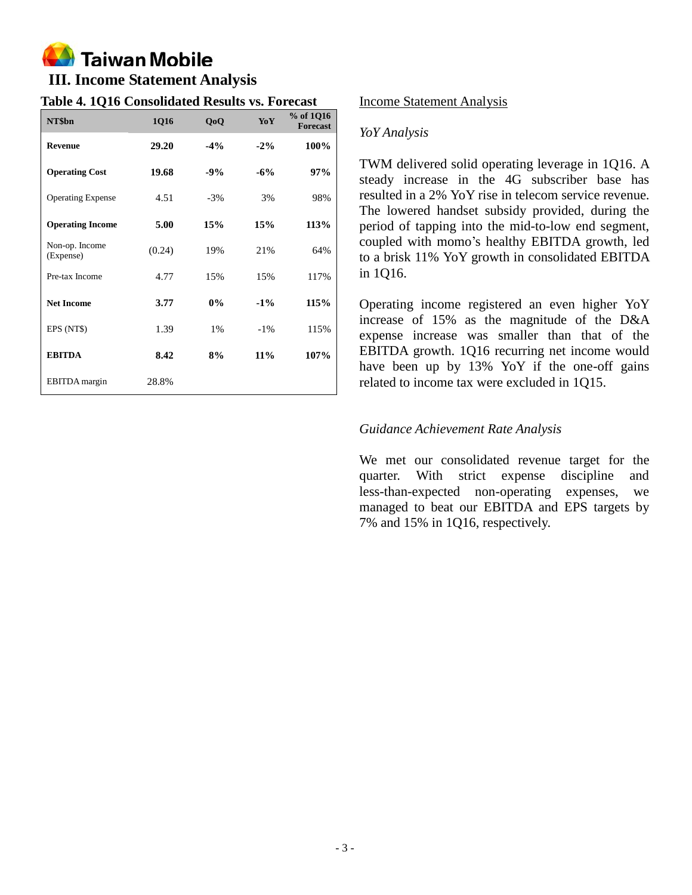# **Taiwan Mobile**

# **III. Income Statement Analysis**

## **Table 4. 1Q16 Consolidated Results vs. Forecast**

| NT\$bn                      | 1Q16   | QoQ    | YoY    | % of 1Q16<br><b>Forecast</b> |
|-----------------------------|--------|--------|--------|------------------------------|
| <b>Revenue</b>              | 29.20  | $-4\%$ | $-2\%$ | 100%                         |
| <b>Operating Cost</b>       | 19.68  | $-9%$  | $-6\%$ | 97%                          |
| <b>Operating Expense</b>    | 4.51   | $-3%$  | 3%     | 98%                          |
| <b>Operating Income</b>     | 5.00   | 15%    | 15%    | 113%                         |
| Non-op. Income<br>(Expense) | (0.24) | 19%    | 21%    | 64%                          |
| Pre-tax Income              | 4.77   | 15%    | 15%    | 117%                         |
| <b>Net Income</b>           | 3.77   | 0%     | $-1\%$ | 115%                         |
| EPS (NT\$)                  | 1.39   | 1%     | $-1\%$ | 115%                         |
| <b>EBITDA</b>               | 8.42   | 8%     | $11\%$ | 107%                         |
| EBITDA margin               | 28.8%  |        |        |                              |

## Income Statement Analysis

## *YoY Analysis*

TWM delivered solid operating leverage in 1Q16. A steady increase in the 4G subscriber base has resulted in a 2% YoY rise in telecom service revenue. The lowered handset subsidy provided, during the period of tapping into the mid-to-low end segment, coupled with momo's healthy EBITDA growth, led to a brisk 11% YoY growth in consolidated EBITDA in 1Q16.

Operating income registered an even higher YoY increase of 15% as the magnitude of the D&A expense increase was smaller than that of the EBITDA growth. 1Q16 recurring net income would have been up by 13% YoY if the one-off gains related to income tax were excluded in 1Q15.

## *Guidance Achievement Rate Analysis*

We met our consolidated revenue target for the quarter. With strict expense discipline and less-than-expected non-operating expenses, we managed to beat our EBITDA and EPS targets by 7% and 15% in 1Q16, respectively.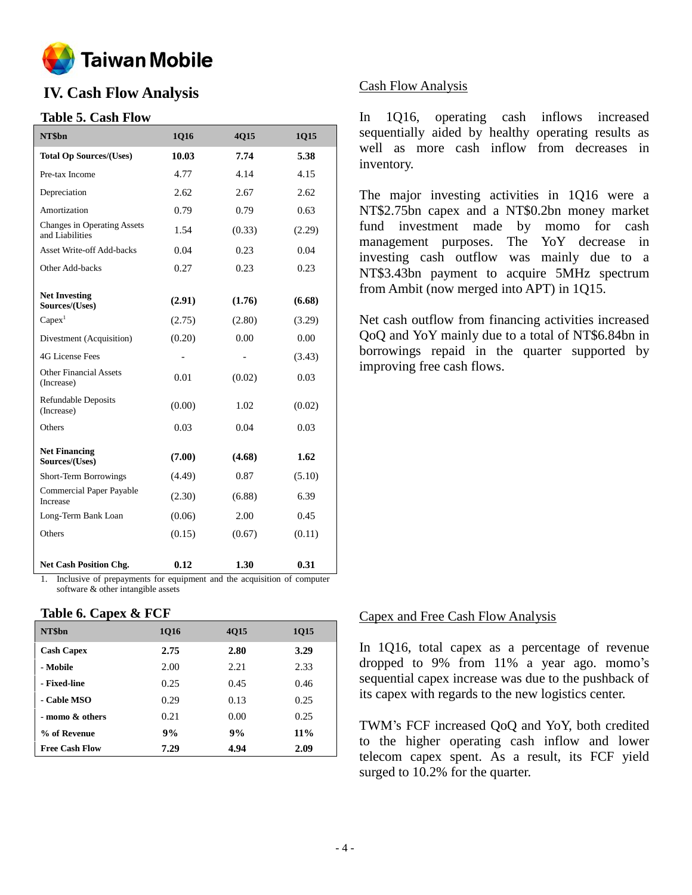

# **IV. Cash Flow Analysis**

## **Table 5. Cash Flow**

| NT\$bn                                         | 1Q16   | 4Q15   | 1Q15   |
|------------------------------------------------|--------|--------|--------|
| <b>Total Op Sources/(Uses)</b>                 | 10.03  | 7.74   | 5.38   |
| Pre-tax Income                                 | 4.77   | 4.14   | 4.15   |
| Depreciation                                   | 2.62   | 2.67   | 2.62   |
| Amortization                                   | 0.79   | 0.79   | 0.63   |
| Changes in Operating Assets<br>and Liabilities | 1.54   | (0.33) | (2.29) |
| Asset Write-off Add-backs                      | 0.04   | 0.23   | 0.04   |
| Other Add-backs                                | 0.27   | 0.23   | 0.23   |
| <b>Net Investing</b><br>Sources/(Uses)         | (2.91) | (1.76) | (6.68) |
| $Capex$ <sup>1</sup>                           | (2.75) | (2.80) | (3.29) |
| Divestment (Acquisition)                       | (0.20) | 0.00   | 0.00   |
| 4G License Fees                                |        |        | (3.43) |
| <b>Other Financial Assets</b><br>(Increase)    | 0.01   | (0.02) | 0.03   |
| <b>Refundable Deposits</b><br>(Increase)       | (0.00) | 1.02   | (0.02) |
| Others                                         | 0.03   | 0.04   | 0.03   |
| <b>Net Financing</b><br>Sources/(Uses)         | (7.00) | (4.68) | 1.62   |
| Short-Term Borrowings                          | (4.49) | 0.87   | (5.10) |
| <b>Commercial Paper Payable</b><br>Increase    | (2.30) | (6.88) | 6.39   |
| Long-Term Bank Loan                            | (0.06) | 2.00   | 0.45   |
| Others                                         | (0.15) | (0.67) | (0.11) |
| <b>Net Cash Position Chg.</b>                  | 0.12   | 1.30   | 0.31   |

1. Inclusive of prepayments for equipment and the acquisition of computer software & other intangible assets

#### **Table 6. Capex & FCF**

| NT\$bn                | 1016 | 4015 | 1015   |
|-----------------------|------|------|--------|
| <b>Cash Capex</b>     | 2.75 | 2.80 | 3.29   |
| - Mobile              | 2.00 | 2.21 | 2.33   |
| - Fixed-line          | 0.25 | 0.45 | 0.46   |
| - Cable MSO           | 0.29 | 0.13 | 0.25   |
| - momo & others       | 0.21 | 0.00 | 0.25   |
| % of Revenue          | 9%   | 9%   | $11\%$ |
| <b>Free Cash Flow</b> | 7.29 | 4.94 | 2.09   |

## Cash Flow Analysis

In 1Q16, operating cash inflows increased sequentially aided by healthy operating results as well as more cash inflow from decreases in inventory.

The major investing activities in 1Q16 were a NT\$2.75bn capex and a NT\$0.2bn money market fund investment made by momo for cash management purposes. The YoY decrease in investing cash outflow was mainly due to a NT\$3.43bn payment to acquire 5MHz spectrum from Ambit (now merged into APT) in 1Q15.

Net cash outflow from financing activities increased QoQ and YoY mainly due to a total of NT\$6.84bn in borrowings repaid in the quarter supported by improving free cash flows.

#### Capex and Free Cash Flow Analysis

In 1Q16, total capex as a percentage of revenue dropped to 9% from 11% a year ago. momo's sequential capex increase was due to the pushback of its capex with regards to the new logistics center.

TWM's FCF increased QoQ and YoY, both credited to the higher operating cash inflow and lower telecom capex spent. As a result, its FCF yield surged to 10.2% for the quarter.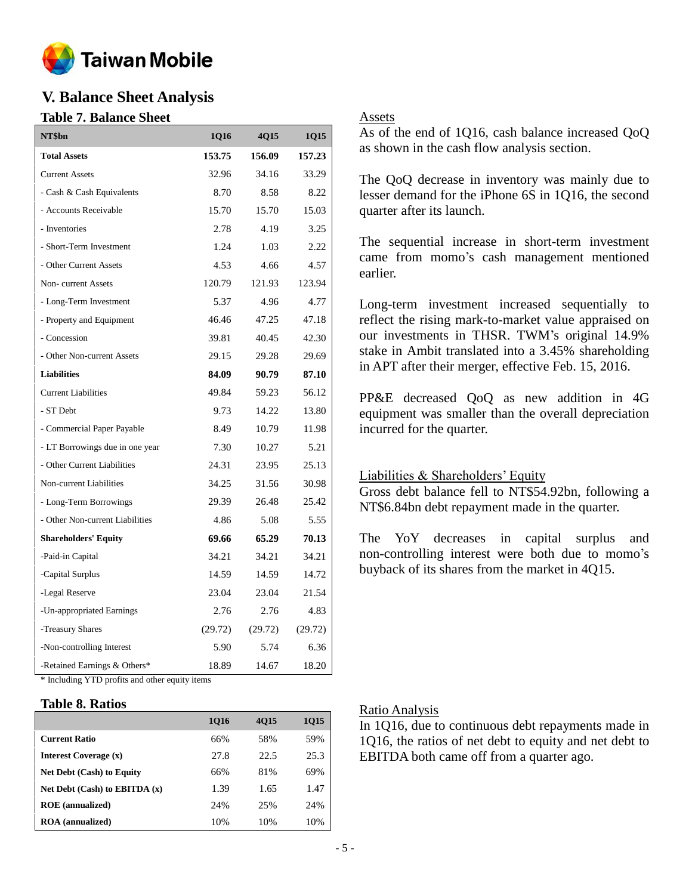

# **V. Balance Sheet Analysis**

#### **Table 7. Balance Sheet**

| NT\$bn                          | 1Q16    | <b>4Q15</b> | 1Q15    |
|---------------------------------|---------|-------------|---------|
| <b>Total Assets</b>             | 153.75  | 156.09      | 157.23  |
| <b>Current Assets</b>           | 32.96   | 34.16       | 33.29   |
| - Cash & Cash Equivalents       | 8.70    | 8.58        | 8.22    |
| - Accounts Receivable           | 15.70   | 15.70       | 15.03   |
| - Inventories                   | 2.78    | 4.19        | 3.25    |
| - Short-Term Investment         | 1.24    | 1.03        | 2.22    |
| - Other Current Assets          | 4.53    | 4.66        | 4.57    |
| Non-current Assets              | 120.79  | 121.93      | 123.94  |
| - Long-Term Investment          | 5.37    | 4.96        | 4.77    |
| - Property and Equipment        | 46.46   | 47.25       | 47.18   |
| - Concession                    | 39.81   | 40.45       | 42.30   |
| - Other Non-current Assets      | 29.15   | 29.28       | 29.69   |
| <b>Liabilities</b>              | 84.09   | 90.79       | 87.10   |
| <b>Current Liabilities</b>      | 49.84   | 59.23       | 56.12   |
| - ST Debt                       | 9.73    | 14.22       | 13.80   |
| - Commercial Paper Payable      | 8.49    | 10.79       | 11.98   |
| - LT Borrowings due in one year | 7.30    | 10.27       | 5.21    |
| - Other Current Liabilities     | 24.31   | 23.95       | 25.13   |
| Non-current Liabilities         | 34.25   | 31.56       | 30.98   |
| - Long-Term Borrowings          | 29.39   | 26.48       | 25.42   |
| - Other Non-current Liabilities | 4.86    | 5.08        | 5.55    |
| <b>Shareholders' Equity</b>     | 69.66   | 65.29       | 70.13   |
| -Paid-in Capital                | 34.21   | 34.21       | 34.21   |
| -Capital Surplus                | 14.59   | 14.59       | 14.72   |
| -Legal Reserve                  | 23.04   | 23.04       | 21.54   |
| -Un-appropriated Earnings       | 2.76    | 2.76        | 4.83    |
| -Treasury Shares                | (29.72) | (29.72)     | (29.72) |
| -Non-controlling Interest       | 5.90    | 5.74        | 6.36    |
| -Retained Earnings & Others*    | 18.89   | 14.67       | 18.20   |

\* Including YTD profits and other equity items

#### **Table 8. Ratios**

|                                   | 1016 | 4015 | <b>1Q15</b> |
|-----------------------------------|------|------|-------------|
| <b>Current Ratio</b>              | 66%  | 58%  | 59%         |
| Interest Coverage (x)             | 27.8 | 22.5 | 25.3        |
| <b>Net Debt (Cash) to Equity</b>  | 66%  | 81%  | 69%         |
| Net Debt $(Cash)$ to EBITDA $(x)$ | 1.39 | 1.65 | 1.47        |
| <b>ROE</b> (annualized)           | 24%  | 25%  | 24%         |
| <b>ROA</b> (annualized)           | 10%  | 10%  | 10%         |

#### Assets

As of the end of 1Q16, cash balance increased QoQ as shown in the cash flow analysis section.

The QoQ decrease in inventory was mainly due to lesser demand for the iPhone 6S in 1Q16, the second quarter after its launch.

The sequential increase in short-term investment came from momo's cash management mentioned earlier.

Long-term investment increased sequentially to reflect the rising mark-to-market value appraised on our investments in THSR. TWM's original 14.9% stake in Ambit translated into a 3.45% shareholding in APT after their merger, effective Feb. 15, 2016.

PP&E decreased QoQ as new addition in 4G equipment was smaller than the overall depreciation incurred for the quarter.

#### Liabilities & Shareholders' Equity

Gross debt balance fell to NT\$54.92bn, following a NT\$6.84bn debt repayment made in the quarter.

The YoY decreases in capital surplus and non-controlling interest were both due to momo's buyback of its shares from the market in 4Q15.

#### Ratio Analysis

In 1Q16, due to continuous debt repayments made in 1Q16, the ratios of net debt to equity and net debt to EBITDA both came off from a quarter ago.